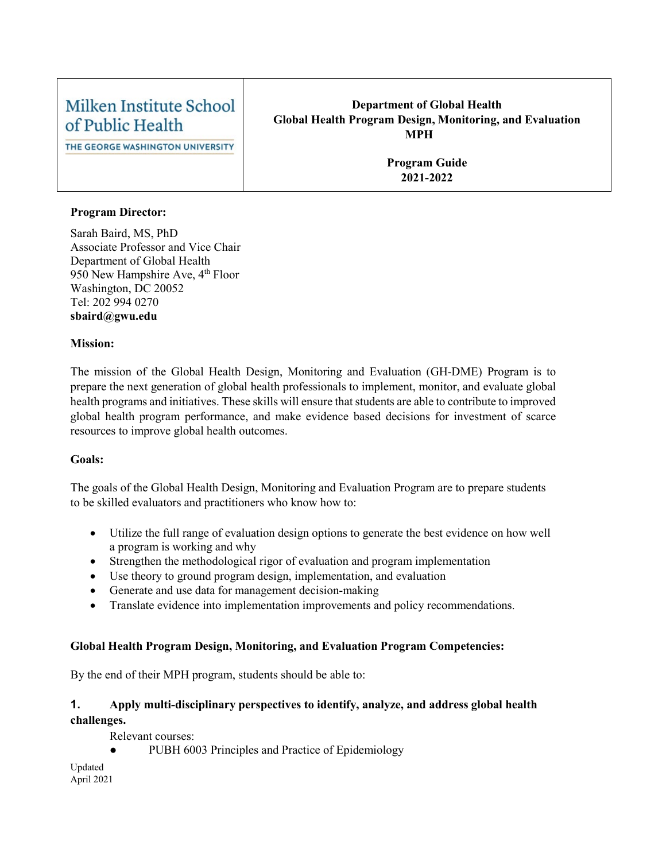## Milken Institute School of Public Health

THE GEORGE WASHINGTON UNIVERSITY

#### **Department of Global Health Global Health Program Design, Monitoring, and Evaluation MPH**

**Program Guide 2021-2022**

#### **Program Director:**

Sarah Baird, MS, PhD Associate Professor and Vice Chair Department of Global Health 950 New Hampshire Ave, 4<sup>th</sup> Floor Washington, DC 20052 Tel: 202 994 0270 **sbaird@gwu.edu**

#### **Mission:**

The mission of the Global Health Design, Monitoring and Evaluation (GH-DME) Program is to prepare the next generation of global health professionals to implement, monitor, and evaluate global health programs and initiatives. These skills will ensure that students are able to contribute to improved global health program performance, and make evidence based decisions for investment of scarce resources to improve global health outcomes.

#### **Goals:**

The goals of the Global Health Design, Monitoring and Evaluation Program are to prepare students to be skilled evaluators and practitioners who know how to:

- Utilize the full range of evaluation design options to generate the best evidence on how well a program is working and why
- Strengthen the methodological rigor of evaluation and program implementation
- Use theory to ground program design, implementation, and evaluation
- Generate and use data for management decision-making
- Translate evidence into implementation improvements and policy recommendations.

#### **Global Health Program Design, Monitoring, and Evaluation Program Competencies:**

By the end of their MPH program, students should be able to:

#### **1. Apply multi-disciplinary perspectives to identify, analyze, and address global health challenges.**

Relevant courses:

PUBH 6003 Principles and Practice of Epidemiology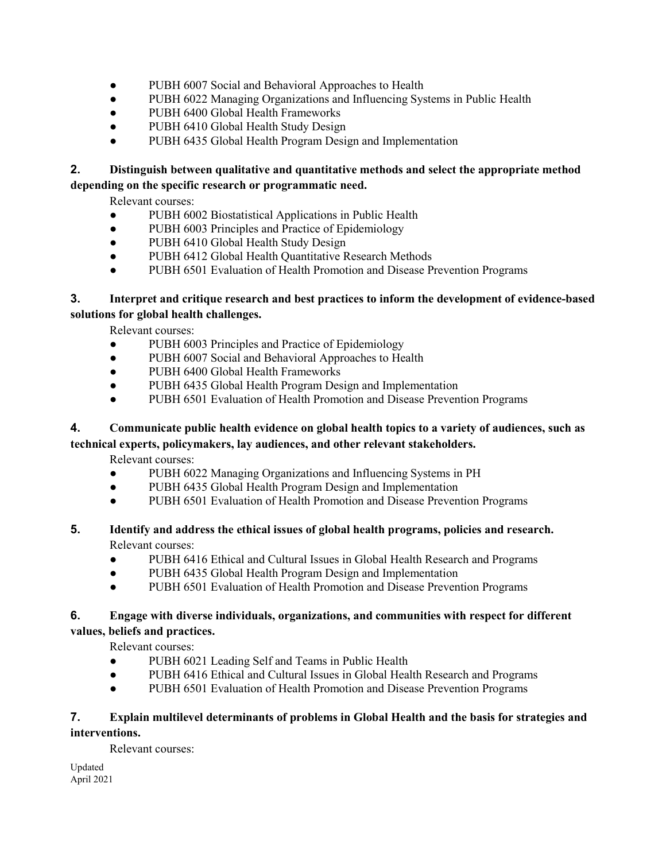- PUBH 6007 Social and Behavioral Approaches to Health
- PUBH 6022 Managing Organizations and Influencing Systems in Public Health
- PUBH 6400 Global Health Frameworks
- PUBH 6410 Global Health Study Design
- PUBH 6435 Global Health Program Design and Implementation

#### **2. Distinguish between qualitative and quantitative methods and select the appropriate method depending on the specific research or programmatic need.**

Relevant courses:

- PUBH 6002 Biostatistical Applications in Public Health
- PUBH 6003 Principles and Practice of Epidemiology
- PUBH 6410 Global Health Study Design
- PUBH 6412 Global Health Quantitative Research Methods
- PUBH 6501 Evaluation of Health Promotion and Disease Prevention Programs

#### **3. Interpret and critique research and best practices to inform the development of evidence-based solutions for global health challenges.**

Relevant courses:

- PUBH 6003 Principles and Practice of Epidemiology
- PUBH 6007 Social and Behavioral Approaches to Health
- PUBH 6400 Global Health Frameworks
- PUBH 6435 Global Health Program Design and Implementation
- PUBH 6501 Evaluation of Health Promotion and Disease Prevention Programs

## **4. Communicate public health evidence on global health topics to a variety of audiences, such as**

**technical experts, policymakers, lay audiences, and other relevant stakeholders.**

Relevant courses:

- PUBH 6022 Managing Organizations and Influencing Systems in PH
- PUBH 6435 Global Health Program Design and Implementation
- PUBH 6501 Evaluation of Health Promotion and Disease Prevention Programs

#### **5. Identify and address the ethical issues of global health programs, policies and research.** Relevant courses:

- PUBH 6416 Ethical and Cultural Issues in Global Health Research and Programs
- PUBH 6435 Global Health Program Design and Implementation
- PUBH 6501 Evaluation of Health Promotion and Disease Prevention Programs

#### **6. Engage with diverse individuals, organizations, and communities with respect for different values, beliefs and practices.**

Relevant courses:

- PUBH 6021 Leading Self and Teams in Public Health
- PUBH 6416 Ethical and Cultural Issues in Global Health Research and Programs
- PUBH 6501 Evaluation of Health Promotion and Disease Prevention Programs

#### **7. Explain multilevel determinants of problems in Global Health and the basis for strategies and**

#### **interventions.**

Relevant courses: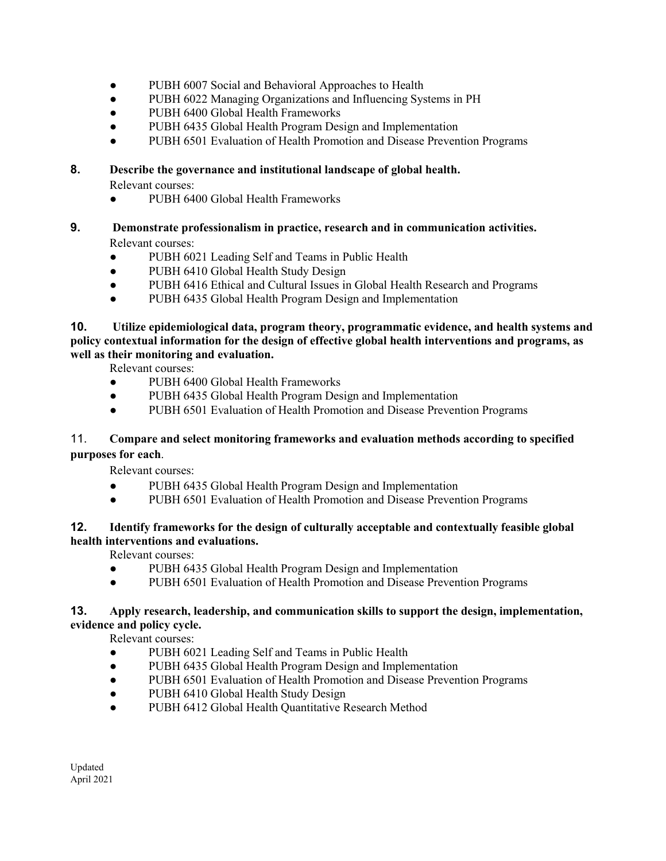- PUBH 6007 Social and Behavioral Approaches to Health
- PUBH 6022 Managing Organizations and Influencing Systems in PH
- PUBH 6400 Global Health Frameworks
- PUBH 6435 Global Health Program Design and Implementation
- PUBH 6501 Evaluation of Health Promotion and Disease Prevention Programs

#### **8. Describe the governance and institutional landscape of global health.**

Relevant courses:

- PUBH 6400 Global Health Frameworks
- **9. Demonstrate professionalism in practice, research and in communication activities.**  Relevant courses:
	- PUBH 6021 Leading Self and Teams in Public Health
	- PUBH 6410 Global Health Study Design
	- PUBH 6416 Ethical and Cultural Issues in Global Health Research and Programs
	- PUBH 6435 Global Health Program Design and Implementation

**10. Utilize epidemiological data, program theory, programmatic evidence, and health systems and policy contextual information for the design of effective global health interventions and programs, as well as their monitoring and evaluation.**

Relevant courses:

- PUBH 6400 Global Health Frameworks
- PUBH 6435 Global Health Program Design and Implementation
- PUBH 6501 Evaluation of Health Promotion and Disease Prevention Programs

#### 11. **Compare and select monitoring frameworks and evaluation methods according to specified purposes for each**.

Relevant courses:

- PUBH 6435 Global Health Program Design and Implementation
- PUBH 6501 Evaluation of Health Promotion and Disease Prevention Programs

#### **12. Identify frameworks for the design of culturally acceptable and contextually feasible global health interventions and evaluations.**

Relevant courses:

- PUBH 6435 Global Health Program Design and Implementation
- PUBH 6501 Evaluation of Health Promotion and Disease Prevention Programs

#### **13. Apply research, leadership, and communication skills to support the design, implementation, evidence and policy cycle.**

Relevant courses:

- PUBH 6021 Leading Self and Teams in Public Health
- PUBH 6435 Global Health Program Design and Implementation
- PUBH 6501 Evaluation of Health Promotion and Disease Prevention Programs
- PUBH 6410 Global Health Study Design
- PUBH 6412 Global Health Quantitative Research Method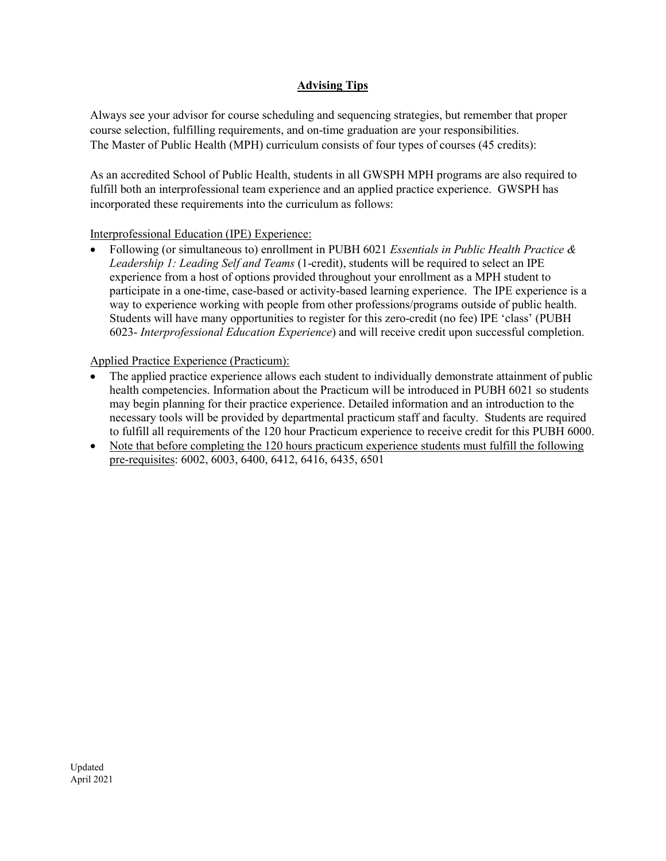#### **Advising Tips**

Always see your advisor for course scheduling and sequencing strategies, but remember that proper course selection, fulfilling requirements, and on-time graduation are your responsibilities. The Master of Public Health (MPH) curriculum consists of four types of courses (45 credits):

As an accredited School of Public Health, students in all GWSPH MPH programs are also required to fulfill both an interprofessional team experience and an applied practice experience. GWSPH has incorporated these requirements into the curriculum as follows:

#### Interprofessional Education (IPE) Experience:

• Following (or simultaneous to) enrollment in PUBH 6021 *Essentials in Public Health Practice & Leadership 1: Leading Self and Teams* (1-credit), students will be required to select an IPE experience from a host of options provided throughout your enrollment as a MPH student to participate in a one-time, case-based or activity-based learning experience. The IPE experience is a way to experience working with people from other professions/programs outside of public health. Students will have many opportunities to register for this zero-credit (no fee) IPE 'class' (PUBH 6023- *Interprofessional Education Experience*) and will receive credit upon successful completion.

#### Applied Practice Experience (Practicum):

- The applied practice experience allows each student to individually demonstrate attainment of public health competencies. Information about the Practicum will be introduced in PUBH 6021 so students may begin planning for their practice experience. Detailed information and an introduction to the necessary tools will be provided by departmental practicum staff and faculty. Students are required to fulfill all requirements of the 120 hour Practicum experience to receive credit for this PUBH 6000.
- Note that before completing the 120 hours practicum experience students must fulfill the following pre-requisites: 6002, 6003, 6400, 6412, 6416, 6435, 6501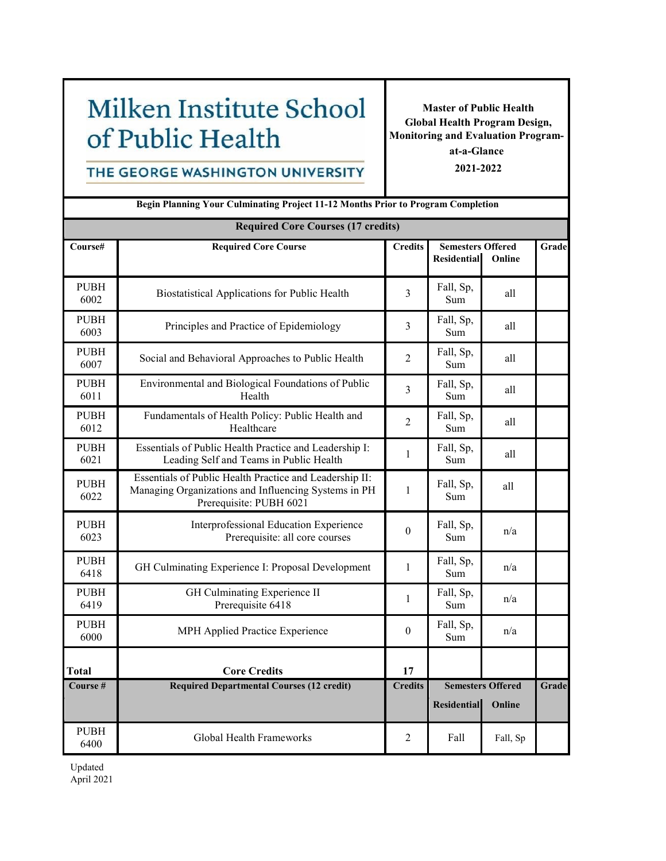# Milken Institute School of Public Health

**Master of Public Health Global Health Program Design, Monitoring and Evaluation Program-**

#### THE GEORGE WASHINGTON UNIVERSITY

**at-a-Glance 2021-2022**

| <b>Begin Planning Your Culminating Project 11-12 Months Prior to Program Completion</b> |                                                                                                                                            |                  |                    |                                                          |       |  |  |  |
|-----------------------------------------------------------------------------------------|--------------------------------------------------------------------------------------------------------------------------------------------|------------------|--------------------|----------------------------------------------------------|-------|--|--|--|
| <b>Required Core Courses (17 credits)</b>                                               |                                                                                                                                            |                  |                    |                                                          |       |  |  |  |
| Course#                                                                                 | <b>Required Core Course</b>                                                                                                                | <b>Credits</b>   |                    | <b>Semesters Offered</b><br><b>Residential</b><br>Online |       |  |  |  |
| <b>PUBH</b><br>6002                                                                     | Biostatistical Applications for Public Health                                                                                              | 3                | Fall, Sp,<br>Sum   | all                                                      |       |  |  |  |
| <b>PUBH</b><br>6003                                                                     | Principles and Practice of Epidemiology                                                                                                    | 3                | Fall, Sp,<br>Sum   | all                                                      |       |  |  |  |
| <b>PUBH</b><br>6007                                                                     | Social and Behavioral Approaches to Public Health                                                                                          | 2                | Fall, Sp,<br>Sum   | all                                                      |       |  |  |  |
| <b>PUBH</b><br>6011                                                                     | Environmental and Biological Foundations of Public<br>Health                                                                               |                  | Fall, Sp,<br>Sum   | all                                                      |       |  |  |  |
| <b>PUBH</b><br>6012                                                                     | Fundamentals of Health Policy: Public Health and<br>Healthcare                                                                             |                  | Fall, Sp,<br>Sum   | all                                                      |       |  |  |  |
| <b>PUBH</b><br>6021                                                                     | Essentials of Public Health Practice and Leadership I:<br>Leading Self and Teams in Public Health                                          | $\mathbf{1}$     | Fall, Sp,<br>Sum   | all                                                      |       |  |  |  |
| <b>PUBH</b><br>6022                                                                     | Essentials of Public Health Practice and Leadership II:<br>Managing Organizations and Influencing Systems in PH<br>Prerequisite: PUBH 6021 | $\mathbf{1}$     | Fall, Sp,<br>Sum   | all                                                      |       |  |  |  |
| <b>PUBH</b><br>6023                                                                     | Interprofessional Education Experience<br>Prerequisite: all core courses                                                                   | $\boldsymbol{0}$ | Fall, Sp,<br>Sum   | n/a                                                      |       |  |  |  |
| <b>PUBH</b><br>6418                                                                     | GH Culminating Experience I: Proposal Development                                                                                          | $\mathbf{1}$     | Fall, Sp,<br>Sum   | n/a                                                      |       |  |  |  |
| <b>PUBH</b><br>6419                                                                     | GH Culminating Experience II<br>Prerequisite 6418                                                                                          | 1                | Fall, Sp,<br>Sum   | n/a                                                      |       |  |  |  |
| <b>PUBH</b><br>6000                                                                     | MPH Applied Practice Experience                                                                                                            | $\boldsymbol{0}$ | Fall, Sp,<br>Sum   | n/a                                                      |       |  |  |  |
| Total                                                                                   | <b>Core Credits</b>                                                                                                                        | 17               |                    |                                                          |       |  |  |  |
| Course #                                                                                | <b>Required Departmental Courses (12 credit)</b>                                                                                           | <b>Credits</b>   | <b>Residential</b> | <b>Semesters Offered</b><br>Online                       | Grade |  |  |  |
| <b>PUBH</b><br>6400                                                                     | Global Health Frameworks                                                                                                                   | 2                | Fall               | Fall, Sp                                                 |       |  |  |  |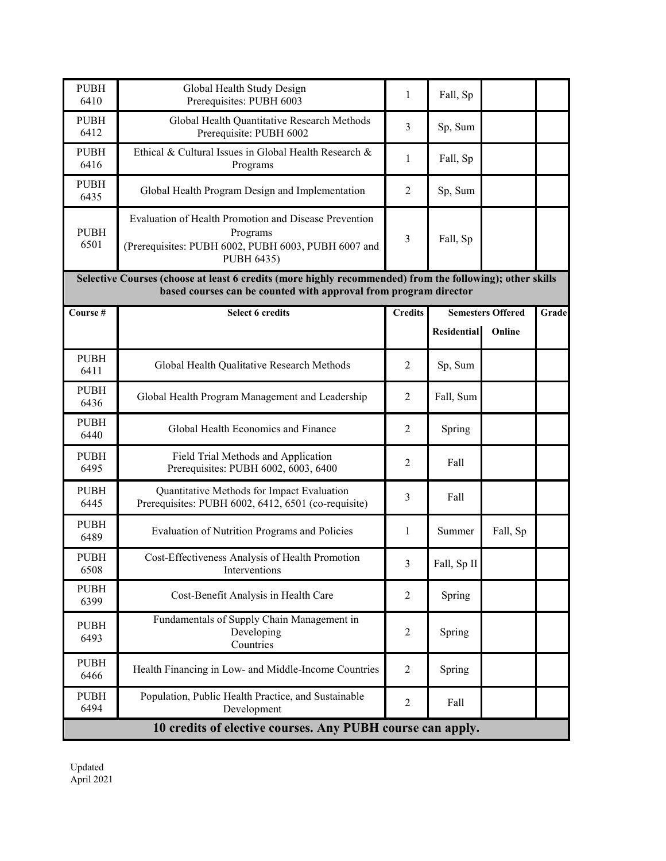| <b>PUBH</b><br>6410                                                                                                                                                          | Global Health Study Design<br>Prerequisites: PUBH 6003                                                                                 | $\mathbf{1}$   | Fall, Sp                                                 |          |       |  |  |  |  |
|------------------------------------------------------------------------------------------------------------------------------------------------------------------------------|----------------------------------------------------------------------------------------------------------------------------------------|----------------|----------------------------------------------------------|----------|-------|--|--|--|--|
| <b>PUBH</b><br>6412                                                                                                                                                          | Global Health Quantitative Research Methods<br>Prerequisite: PUBH 6002                                                                 | 3              | Sp, Sum                                                  |          |       |  |  |  |  |
| <b>PUBH</b><br>6416                                                                                                                                                          | Ethical & Cultural Issues in Global Health Research &<br>Programs                                                                      | 1              | Fall, Sp                                                 |          |       |  |  |  |  |
| <b>PUBH</b><br>6435                                                                                                                                                          | Global Health Program Design and Implementation                                                                                        | 2              | Sp, Sum                                                  |          |       |  |  |  |  |
| <b>PUBH</b><br>6501                                                                                                                                                          | Evaluation of Health Promotion and Disease Prevention<br>Programs<br>(Prerequisites: PUBH 6002, PUBH 6003, PUBH 6007 and<br>PUBH 6435) | 3              | Fall, Sp                                                 |          |       |  |  |  |  |
| Selective Courses (choose at least 6 credits (more highly recommended) from the following); other skills<br>based courses can be counted with approval from program director |                                                                                                                                        |                |                                                          |          |       |  |  |  |  |
| Course #                                                                                                                                                                     | <b>Select 6 credits</b>                                                                                                                | <b>Credits</b> | <b>Semesters Offered</b><br><b>Residential</b><br>Online |          | Grade |  |  |  |  |
| <b>PUBH</b><br>6411                                                                                                                                                          | Global Health Qualitative Research Methods                                                                                             | $\overline{2}$ | Sp, Sum                                                  |          |       |  |  |  |  |
| <b>PUBH</b><br>6436                                                                                                                                                          | Global Health Program Management and Leadership                                                                                        | $\overline{2}$ | Fall, Sum                                                |          |       |  |  |  |  |
| <b>PUBH</b><br>6440                                                                                                                                                          | Global Health Economics and Finance                                                                                                    | $\overline{2}$ | Spring                                                   |          |       |  |  |  |  |
| <b>PUBH</b><br>6495                                                                                                                                                          | Field Trial Methods and Application<br>Prerequisites: PUBH 6002, 6003, 6400                                                            | $\overline{c}$ | Fall                                                     |          |       |  |  |  |  |
| <b>PUBH</b><br>6445                                                                                                                                                          | Quantitative Methods for Impact Evaluation<br>Prerequisites: PUBH 6002, 6412, 6501 (co-requisite)                                      | 3              | Fall                                                     |          |       |  |  |  |  |
| <b>PUBH</b><br>6489                                                                                                                                                          | Evaluation of Nutrition Programs and Policies                                                                                          | 1              | Summer                                                   | Fall, Sp |       |  |  |  |  |
| <b>PUBH</b><br>6508                                                                                                                                                          | Cost-Effectiveness Analysis of Health Promotion<br>Interventions                                                                       | $\mathcal{E}$  | Fall, Sp II                                              |          |       |  |  |  |  |
| <b>PUBH</b><br>6399                                                                                                                                                          | Cost-Benefit Analysis in Health Care                                                                                                   | $\overline{2}$ | Spring                                                   |          |       |  |  |  |  |
| <b>PUBH</b><br>6493                                                                                                                                                          | Fundamentals of Supply Chain Management in<br>Developing<br>Countries                                                                  | $\overline{2}$ | Spring                                                   |          |       |  |  |  |  |
| <b>PUBH</b><br>6466                                                                                                                                                          | Health Financing in Low- and Middle-Income Countries                                                                                   | $\overline{2}$ | Spring                                                   |          |       |  |  |  |  |
| <b>PUBH</b><br>6494                                                                                                                                                          | Population, Public Health Practice, and Sustainable<br>Development                                                                     | $\overline{2}$ | Fall                                                     |          |       |  |  |  |  |
| 10 credits of elective courses. Any PUBH course can apply.                                                                                                                   |                                                                                                                                        |                |                                                          |          |       |  |  |  |  |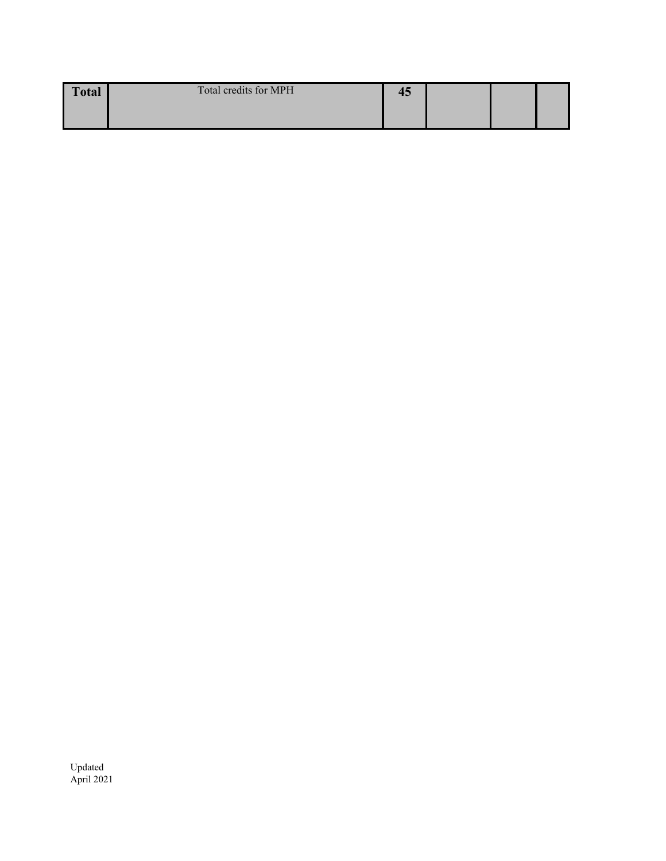| <b>Total</b> | Total credits for MPH | − |  |  |
|--------------|-----------------------|---|--|--|
|              |                       |   |  |  |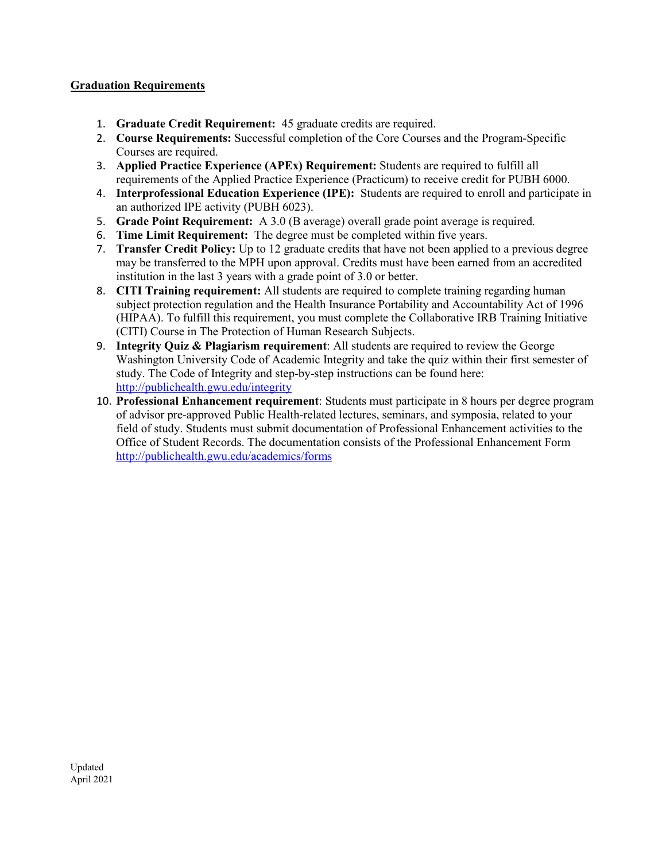#### **Graduation Requirements**

- 1. **Graduate Credit Requirement:** 45 graduate credits are required.
- 2. **Course Requirements:** Successful completion of the Core Courses and the Program-Specific Courses are required.
- 3. **Applied Practice Experience (APEx) Requirement:** Students are required to fulfill all requirements of the Applied Practice Experience (Practicum) to receive credit for PUBH 6000.
- 4. **Interprofessional Education Experience (IPE):** Students are required to enroll and participate in an authorized IPE activity (PUBH 6023).
- 5. **Grade Point Requirement:** A 3.0 (B average) overall grade point average is required.
- 6. **Time Limit Requirement:** The degree must be completed within five years.
- 7. **Transfer Credit Policy:** Up to 12 graduate credits that have not been applied to a previous degree may be transferred to the MPH upon approval. Credits must have been earned from an accredited institution in the last 3 years with a grade point of 3.0 or better.
- 8. **CITI Training requirement:** All students are required to complete training regarding human subject protection regulation and the Health Insurance Portability and Accountability Act of 1996 (HIPAA). To fulfill this requirement, you must complete the Collaborative IRB Training Initiative (CITI) Course in The Protection of Human Research Subjects.
- 9. **Integrity Quiz & Plagiarism requirement**: All students are required to review the George Washington University Code of Academic Integrity and take the quiz within their first semester of study. The Code of Integrity and step-by-step instructions can be found here: <http://publichealth.gwu.edu/integrity>
- 10. **Professional Enhancement requirement**: Students must participate in 8 hours per degree program of advisor pre-approved Public Health-related lectures, seminars, and symposia, related to your field of study. Students must submit documentation of Professional Enhancement activities to the Office of Student Records. The documentation consists of the Professional Enhancement Form <http://publichealth.gwu.edu/academics/forms>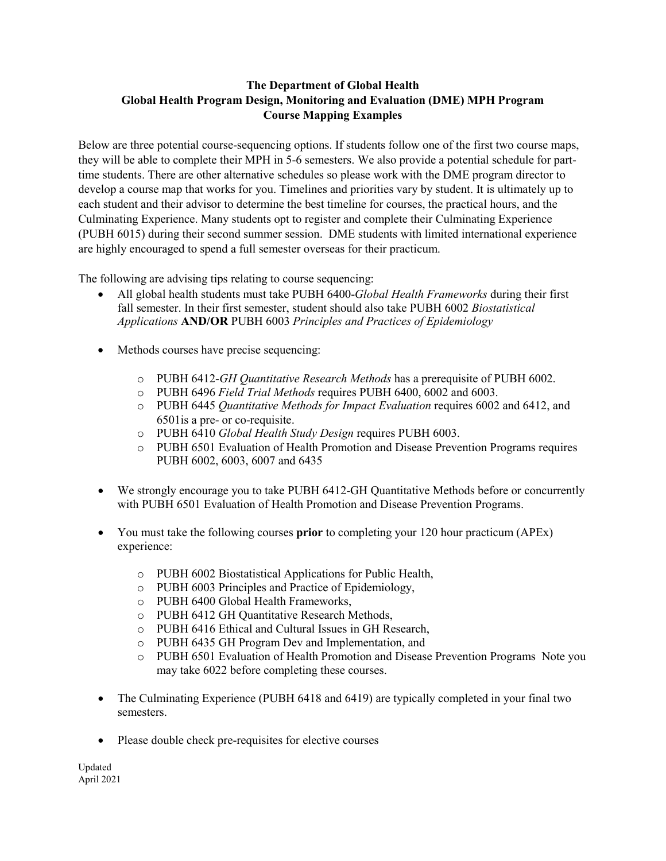#### **The Department of Global Health Global Health Program Design, Monitoring and Evaluation (DME) MPH Program Course Mapping Examples**

Below are three potential course-sequencing options. If students follow one of the first two course maps, they will be able to complete their MPH in 5-6 semesters. We also provide a potential schedule for parttime students. There are other alternative schedules so please work with the DME program director to develop a course map that works for you. Timelines and priorities vary by student. It is ultimately up to each student and their advisor to determine the best timeline for courses, the practical hours, and the Culminating Experience. Many students opt to register and complete their Culminating Experience (PUBH 6015) during their second summer session. DME students with limited international experience are highly encouraged to spend a full semester overseas for their practicum.

The following are advising tips relating to course sequencing:

- All global health students must take PUBH 6400-*Global Health Frameworks* during their first fall semester. In their first semester, student should also take PUBH 6002 *Biostatistical Applications* **AND/OR** PUBH 6003 *Principles and Practices of Epidemiology*
- Methods courses have precise sequencing:
	- o PUBH 6412-*GH Quantitative Research Methods* has a prerequisite of PUBH 6002.
	- o PUBH 6496 *Field Trial Methods* requires PUBH 6400, 6002 and 6003.
	- o PUBH 6445 *Quantitative Methods for Impact Evaluation* requires 6002 and 6412, and 6501is a pre- or co-requisite.
	- o PUBH 6410 *Global Health Study Design* requires PUBH 6003.
	- o PUBH 6501 Evaluation of Health Promotion and Disease Prevention Programs requires PUBH 6002, 6003, 6007 and 6435
- We strongly encourage you to take PUBH 6412-GH Quantitative Methods before or concurrently with PUBH 6501 Evaluation of Health Promotion and Disease Prevention Programs.
- You must take the following courses **prior** to completing your 120 hour practicum (APEx) experience:
	- o PUBH 6002 Biostatistical Applications for Public Health,
	- o PUBH 6003 Principles and Practice of Epidemiology,
	- o PUBH 6400 Global Health Frameworks,
	- o PUBH 6412 GH Quantitative Research Methods,
	- o PUBH 6416 Ethical and Cultural Issues in GH Research,
	- o PUBH 6435 GH Program Dev and Implementation, and
	- o PUBH 6501 Evaluation of Health Promotion and Disease Prevention Programs Note you may take 6022 before completing these courses.
- The Culminating Experience (PUBH 6418 and 6419) are typically completed in your final two semesters.
- Please double check pre-requisites for elective courses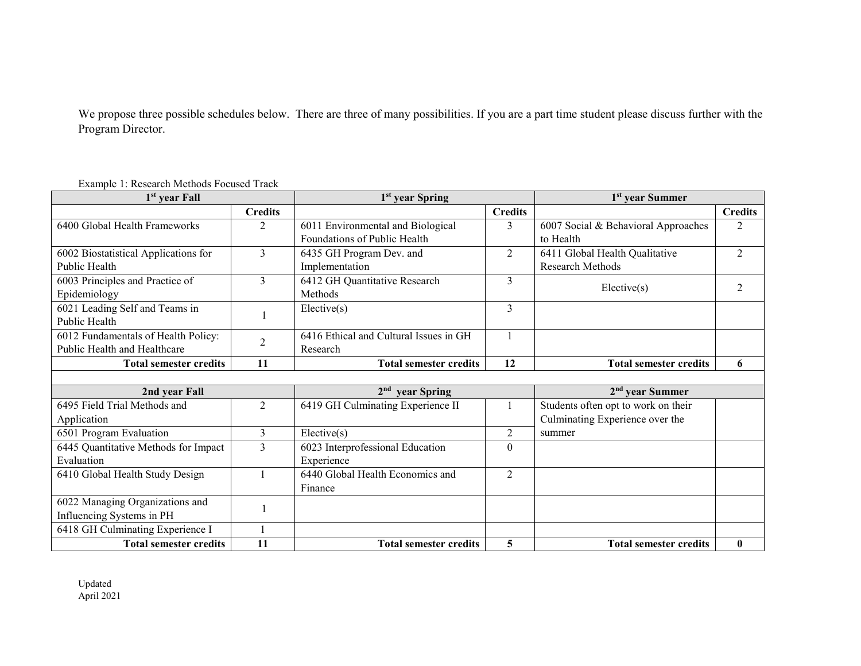We propose three possible schedules below. There are three of many possibilities. If you are a part time student please discuss further with the Program Director.

| 1 <sup>st</sup> year Fall            |                | 1 <sup>st</sup> year Spring            | 1 <sup>st</sup> year Summer |                                     |                |  |  |
|--------------------------------------|----------------|----------------------------------------|-----------------------------|-------------------------------------|----------------|--|--|
|                                      | <b>Credits</b> |                                        | <b>Credits</b>              |                                     | <b>Credits</b> |  |  |
| 6400 Global Health Frameworks        | 2              | 6011 Environmental and Biological      | 3                           | 6007 Social & Behavioral Approaches | $\mathfrak{D}$ |  |  |
|                                      |                | Foundations of Public Health           |                             | to Health                           |                |  |  |
| 6002 Biostatistical Applications for | 3              | 6435 GH Program Dev. and               | 2                           | 6411 Global Health Qualitative      | $\overline{2}$ |  |  |
| Public Health                        |                | Implementation                         |                             | <b>Research Methods</b>             |                |  |  |
| 6003 Principles and Practice of      | 3              | 6412 GH Quantitative Research          | $\overline{3}$              | Electric(s)                         | $\mathfrak{D}$ |  |  |
| Epidemiology                         |                | Methods                                |                             |                                     |                |  |  |
| 6021 Leading Self and Teams in       |                | Electric(s)                            | 3                           |                                     |                |  |  |
| Public Health                        |                |                                        |                             |                                     |                |  |  |
| 6012 Fundamentals of Health Policy:  | $\overline{2}$ | 6416 Ethical and Cultural Issues in GH |                             |                                     |                |  |  |
| Public Health and Healthcare         |                | Research                               |                             |                                     |                |  |  |
| <b>Total semester credits</b>        | 11             | <b>Total semester credits</b>          | 12                          | <b>Total semester credits</b>       | 6              |  |  |
|                                      |                |                                        |                             |                                     |                |  |  |
| 2nd year Fall                        |                | 2 <sup>nd</sup> year Spring            |                             | $2nd$ year Summer                   |                |  |  |
| 6495 Field Trial Methods and         | 2              | 6419 GH Culminating Experience II      |                             | Students often opt to work on their |                |  |  |
| Application                          |                |                                        |                             | Culminating Experience over the     |                |  |  |
| 6501 Program Evaluation              | $\overline{3}$ | Electric(s)                            | $\overline{2}$              | summer                              |                |  |  |
| 6445 Quantitative Methods for Impact | 3              | 6023 Interprofessional Education       | $\theta$                    |                                     |                |  |  |
| Evaluation                           |                | Experience                             |                             |                                     |                |  |  |
| 6410 Global Health Study Design      |                | 6440 Global Health Economics and       | $\overline{2}$              |                                     |                |  |  |
|                                      |                | Finance                                |                             |                                     |                |  |  |
| 6022 Managing Organizations and      |                |                                        |                             |                                     |                |  |  |
| Influencing Systems in PH            |                |                                        |                             |                                     |                |  |  |
| 6418 GH Culminating Experience I     | 1              |                                        |                             |                                     |                |  |  |
| <b>Total semester credits</b>        | 11             | <b>Total semester credits</b>          | 5                           | <b>Total semester credits</b>       | $\mathbf{0}$   |  |  |

Example 1: Research Methods Focused Track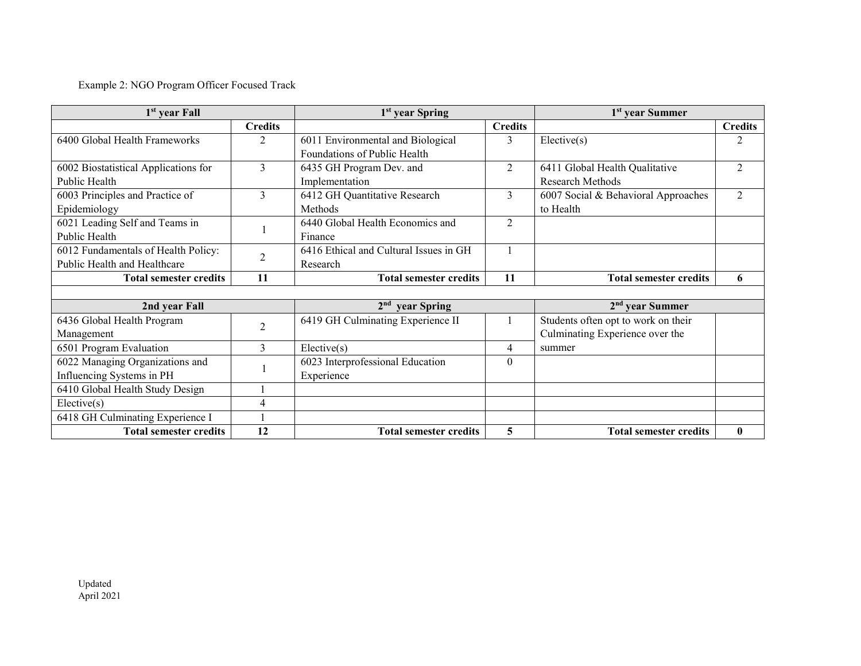### Example 2: NGO Program Officer Focused Track

| 1 <sup>st</sup> year Fall            |                | 1 <sup>st</sup> year Spring            |                  | 1 <sup>st</sup> year Summer         |                |
|--------------------------------------|----------------|----------------------------------------|------------------|-------------------------------------|----------------|
|                                      | <b>Credits</b> |                                        | <b>Credits</b>   |                                     | <b>Credits</b> |
| 6400 Global Health Frameworks        | $\overline{2}$ | 6011 Environmental and Biological      | 3                | Electric(s)                         | 2              |
|                                      |                | Foundations of Public Health           |                  |                                     |                |
| 6002 Biostatistical Applications for | 3              | 6435 GH Program Dev. and               | 2                | 6411 Global Health Qualitative      | $\mathfrak{D}$ |
| Public Health                        |                | Implementation                         |                  | Research Methods                    |                |
| 6003 Principles and Practice of      | 3              | 6412 GH Quantitative Research          | 3                | 6007 Social & Behavioral Approaches | 2              |
| Epidemiology                         |                | Methods                                |                  | to Health                           |                |
| 6021 Leading Self and Teams in       |                | 6440 Global Health Economics and       | 2                |                                     |                |
| Public Health                        |                | Finance                                |                  |                                     |                |
| 6012 Fundamentals of Health Policy:  | $\overline{2}$ | 6416 Ethical and Cultural Issues in GH |                  |                                     |                |
| Public Health and Healthcare         |                | Research                               |                  |                                     |                |
| <b>Total semester credits</b>        | 11             | <b>Total semester credits</b>          | 11               | <b>Total semester credits</b>       | 6              |
|                                      |                |                                        |                  |                                     |                |
|                                      |                |                                        |                  |                                     |                |
| 2nd year Fall                        |                | $2nd$ year Spring                      |                  | $2nd$ year Summer                   |                |
| 6436 Global Health Program           |                | 6419 GH Culminating Experience II      |                  | Students often opt to work on their |                |
| Management                           | $\overline{2}$ |                                        |                  | Culminating Experience over the     |                |
| 6501 Program Evaluation              | $\overline{3}$ | Electric(s)                            | 4                | summer                              |                |
| 6022 Managing Organizations and      |                | 6023 Interprofessional Education       | $\boldsymbol{0}$ |                                     |                |
| Influencing Systems in PH            |                | Experience                             |                  |                                     |                |
| 6410 Global Health Study Design      |                |                                        |                  |                                     |                |
| Elective(s)                          | $\overline{4}$ |                                        |                  |                                     |                |
| 6418 GH Culminating Experience I     |                |                                        |                  |                                     |                |